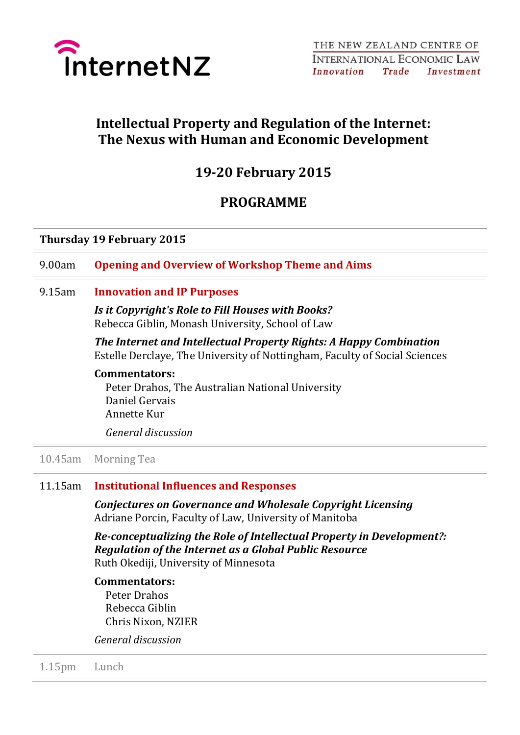

# **Intellectual Property and Regulation of the Internet: The Nexus with Human and Economic Development**

## **19-20 February 2015**

## **PROGRAMME**

### **Thursday 19 February 2015**

9.00am **Opening and Overview of Workshop Theme and Aims**

9.15am **Innovation and IP Purposes**

*Is it Copyright's Role to Fill Houses with Books?* Rebecca Giblin, Monash University, School of Law

*The Internet and Intellectual Property Rights: A Happy Combination* Estelle Derclaye, The University of Nottingham, Faculty of Social Sciences

#### **Commentators:**

Peter Drahos, The Australian National University Daniel Gervais Annette Kur

*General discussion*

### 10.45am Morning Tea

#### 11.15am **Institutional Influences and Responses**

*Conjectures on Governance and Wholesale Copyright Licensing* Adriane Porcin, Faculty of Law, University of Manitoba

*Re-conceptualizing the Role of Intellectual Property in Development?: Regulation of the Internet as a Global Public Resource* Ruth Okediji, University of Minnesota

#### **Commentators:**

Peter Drahos Rebecca Giblin Chris Nixon, NZIER

*General discussion*

1.15pm Lunch